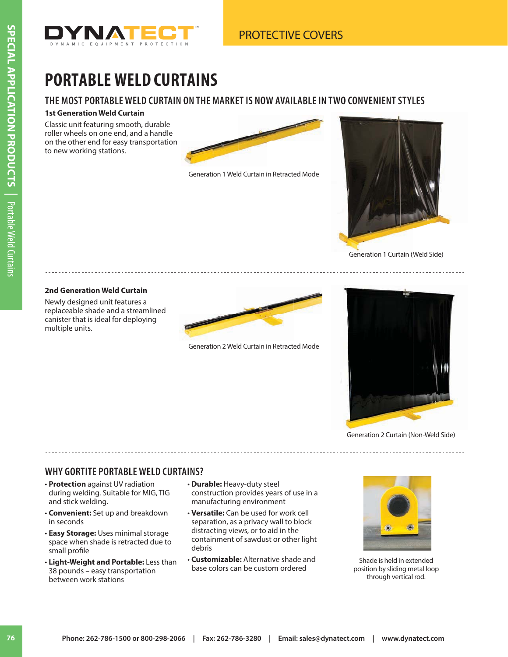

# **PORTABLE WELD CURTAINS**

### **THE MOST PORTABLE WELD CURTAIN ON THE MARKET IS NOW AVAILABLE IN TWO CONVENIENT STYLES**

#### **1st Generation Weld Curtain**

Classic unit featuring smooth, durable roller wheels on one end, and a handle on the other end for easy transportation to new working stations.



Generation 1 Weld Curtain in Retracted Mode



Generation 1 Curtain (Weld Side)

#### **2nd Generation Weld Curtain**

Newly designed unit features a replaceable shade and a streamlined canister that is ideal for deploying multiple units.



Generation 2 Weld Curtain in Retracted Mode



Generation 2 Curtain (Non-Weld Side)

### **WHY GORTITE PORTABLE WELD CURTAINS?**

- **Protection** against UV radiation during welding. Suitable for MIG, TIG and stick welding.
- **Convenient:** Set up and breakdown in seconds
- **Easy Storage:** Uses minimal storage space when shade is retracted due to small profile
- **Light-Weight and Portable:** Less than 38 pounds – easy transportation between work stations
- **Durable:** Heavy-duty steel construction provides years of use in a manufacturing environment
- **Versatile:** Can be used for work cell separation, as a privacy wall to block distracting views, or to aid in the containment of sawdust or other light debris
- **Customizable:** Alternative shade and base colors can be custom ordered



Shade is held in extended position by sliding metal loop through vertical rod.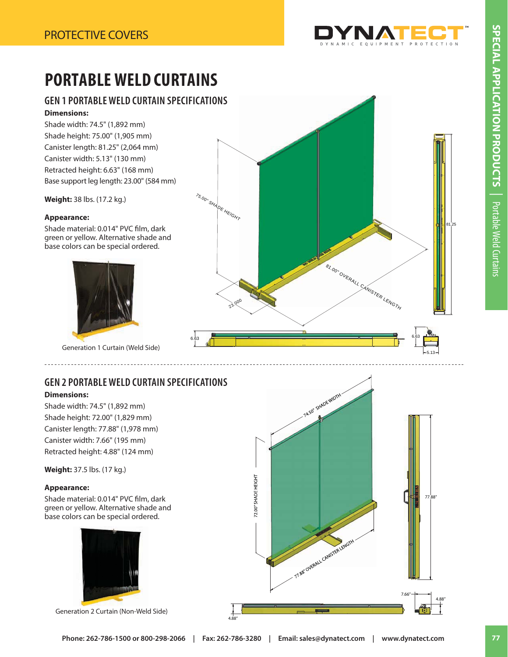

# **PORTABLE WELD CURTAINS**

### **GEN 1 PORTABLE WELD CURTAIN SPECIFICATIONS Dimensions:**

Shade width: 74.5" (1,892 mm) Shade height: 75.00" (1,905 mm) Canister length: 81.25" (2,064 mm) Canister width: 5.13" (130 mm) Retracted height: 6.63" (168 mm) Base support leg length: 23.00" (584 mm)

**Weight:** 38 lbs. (17.2 kg.)

#### **Appearance:**

Shade material: 0.014" PVC film, dark green or yellow. Alternative shade and base colors can be special ordered.



Generation 1 Curtain (Weld Side)

## **GEN 2 PORTABLE WELD CURTAIN SPECIFICATIONS**

6.63

#### **Dimensions:**

Shade width: 74.5" (1,892 mm) Shade height: 72.00" (1,829 mm) Canister length: 77.88" (1,978 mm) Canister width: 7.66" (195 mm) Retracted height: 4.88" (124 mm)

**Weight:** 37.5 lbs. (17 kg.)

#### **Appearance:**

Shade material: 0.014" PVC film, dark green or yellow. Alternative shade and base colors can be special ordered.



Generation 2 Curtain (Non-Weld Side)





4.88"